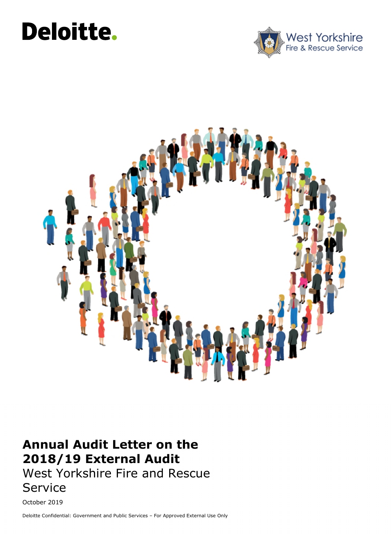# **here.**





### **Annual Audit Letter on the 2018/19 External Audit**  West Yorkshire Fire and Rescue Service

October 2019

Deloitte Confidential: Government and Public Services – For Approved External Use Only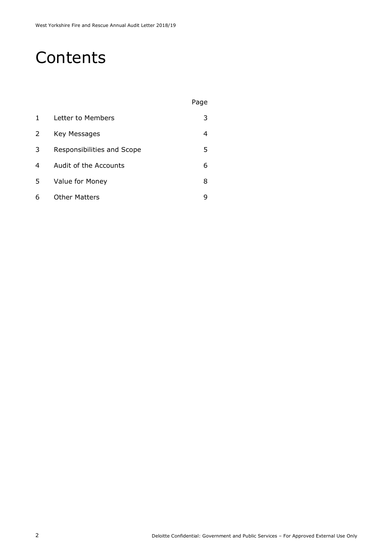### **Contents**

|   |                            | Page |
|---|----------------------------|------|
| 1 | Letter to Members          | 3    |
| 2 | Key Messages               | 4    |
| 3 | Responsibilities and Scope | 5    |
| 4 | Audit of the Accounts      | 6    |
| 5 | Value for Money            | 8    |
| 6 | <b>Other Matters</b>       | ч    |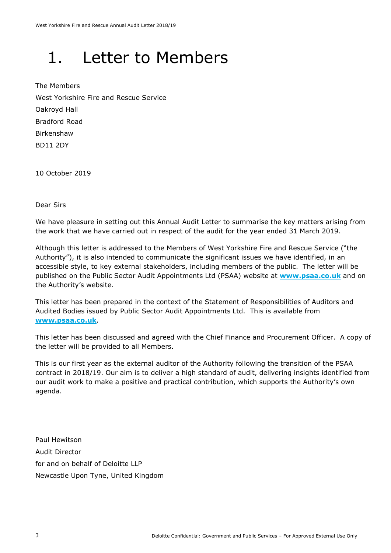## 1. Letter to Members

The Members West Yorkshire Fire and Rescue Service Oakroyd Hall Bradford Road Birkenshaw BD11 2DY

10 October 2019

Dear Sirs

We have pleasure in setting out this Annual Audit Letter to summarise the key matters arising from the work that we have carried out in respect of the audit for the year ended 31 March 2019.

Although this letter is addressed to the Members of West Yorkshire Fire and Rescue Service ("the Authority"), it is also intended to communicate the significant issues we have identified, in an accessible style, to key external stakeholders, including members of the public. The letter will be published on the Public Sector Audit Appointments Ltd (PSAA) website at **www.psaa.co.uk** and on the Authority's website.

This letter has been prepared in the context of the Statement of Responsibilities of Auditors and Audited Bodies issued by Public Sector Audit Appointments Ltd. This is available from **www.psaa.co.uk**.

This letter has been discussed and agreed with the Chief Finance and Procurement Officer. A copy of the letter will be provided to all Members.

This is our first year as the external auditor of the Authority following the transition of the PSAA contract in 2018/19. Our aim is to deliver a high standard of audit, delivering insights identified from our audit work to make a positive and practical contribution, which supports the Authority's own agenda.

Paul Hewitson Audit Director for and on behalf of Deloitte LLP Newcastle Upon Tyne, United Kingdom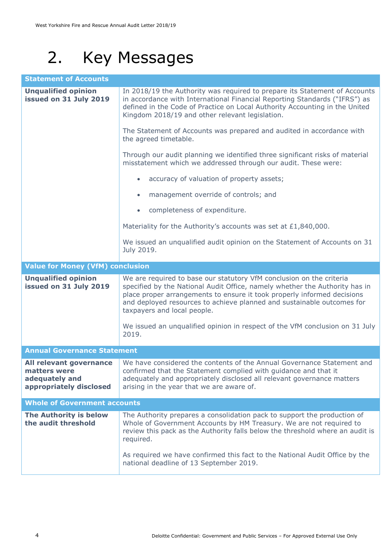## 2. Key Messages

| <b>Statement of Accounts</b>                                                         |                                                                                                                                                                                                                                                                                                                                         |  |  |  |
|--------------------------------------------------------------------------------------|-----------------------------------------------------------------------------------------------------------------------------------------------------------------------------------------------------------------------------------------------------------------------------------------------------------------------------------------|--|--|--|
| <b>Unqualified opinion</b><br>issued on 31 July 2019                                 | In 2018/19 the Authority was required to prepare its Statement of Accounts<br>in accordance with International Financial Reporting Standards ("IFRS") as<br>defined in the Code of Practice on Local Authority Accounting in the United<br>Kingdom 2018/19 and other relevant legislation.                                              |  |  |  |
|                                                                                      | The Statement of Accounts was prepared and audited in accordance with<br>the agreed timetable.                                                                                                                                                                                                                                          |  |  |  |
|                                                                                      | Through our audit planning we identified three significant risks of material<br>misstatement which we addressed through our audit. These were:                                                                                                                                                                                          |  |  |  |
|                                                                                      | accuracy of valuation of property assets;<br>$\bullet$                                                                                                                                                                                                                                                                                  |  |  |  |
|                                                                                      | management override of controls; and<br>$\bullet$                                                                                                                                                                                                                                                                                       |  |  |  |
|                                                                                      | completeness of expenditure.<br>$\bullet$                                                                                                                                                                                                                                                                                               |  |  |  |
|                                                                                      | Materiality for the Authority's accounts was set at £1,840,000.                                                                                                                                                                                                                                                                         |  |  |  |
|                                                                                      | We issued an unqualified audit opinion on the Statement of Accounts on 31<br>July 2019.                                                                                                                                                                                                                                                 |  |  |  |
| <b>Value for Money (VfM) conclusion</b>                                              |                                                                                                                                                                                                                                                                                                                                         |  |  |  |
| <b>Unqualified opinion</b><br>issued on 31 July 2019                                 | We are required to base our statutory VfM conclusion on the criteria<br>specified by the National Audit Office, namely whether the Authority has in<br>place proper arrangements to ensure it took properly informed decisions<br>and deployed resources to achieve planned and sustainable outcomes for<br>taxpayers and local people. |  |  |  |
|                                                                                      | We issued an unqualified opinion in respect of the VfM conclusion on 31 July<br>2019.                                                                                                                                                                                                                                                   |  |  |  |
| <b>Annual Governance Statement</b>                                                   |                                                                                                                                                                                                                                                                                                                                         |  |  |  |
| All relevant governance<br>matters were<br>adequately and<br>appropriately disclosed | We have considered the contents of the Annual Governance Statement and<br>confirmed that the Statement complied with guidance and that it<br>adequately and appropriately disclosed all relevant governance matters<br>arising in the year that we are aware of.                                                                        |  |  |  |
| <b>Whole of Government accounts</b>                                                  |                                                                                                                                                                                                                                                                                                                                         |  |  |  |
| The Authority is below<br>the audit threshold                                        | The Authority prepares a consolidation pack to support the production of<br>Whole of Government Accounts by HM Treasury. We are not required to<br>review this pack as the Authority falls below the threshold where an audit is<br>required.                                                                                           |  |  |  |
|                                                                                      | As required we have confirmed this fact to the National Audit Office by the<br>national deadline of 13 September 2019.                                                                                                                                                                                                                  |  |  |  |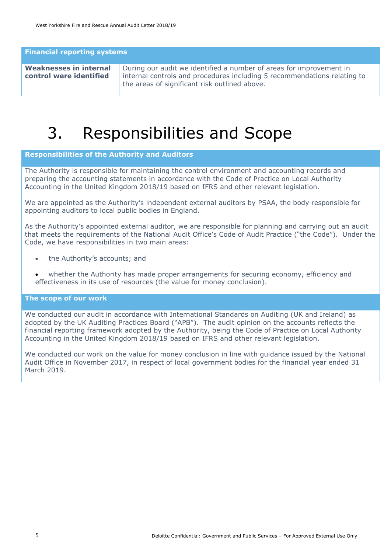**Financial reporting systems**

| Weaknesses in internal  | During our audit we identified a number of areas for improvement in                                                       |
|-------------------------|---------------------------------------------------------------------------------------------------------------------------|
| control were identified | internal controls and procedures including 5 recommendations relating to<br>the areas of significant risk outlined above. |

### 3. Responsibilities and Scope

#### **Responsibilities of the Authority and Auditors**

The Authority is responsible for maintaining the control environment and accounting records and preparing the accounting statements in accordance with the Code of Practice on Local Authority Accounting in the United Kingdom 2018/19 based on IFRS and other relevant legislation.

We are appointed as the Authority's independent external auditors by PSAA, the body responsible for appointing auditors to local public bodies in England.

As the Authority's appointed external auditor, we are responsible for planning and carrying out an audit that meets the requirements of the National Audit Office's Code of Audit Practice ("the Code"). Under the Code, we have responsibilities in two main areas:

- the Authority's accounts; and
- whether the Authority has made proper arrangements for securing economy, efficiency and effectiveness in its use of resources (the value for money conclusion).

#### **The scope of our work**

We conducted our audit in accordance with International Standards on Auditing (UK and Ireland) as adopted by the UK Auditing Practices Board ("APB"). The audit opinion on the accounts reflects the financial reporting framework adopted by the Authority, being the Code of Practice on Local Authority Accounting in the United Kingdom 2018/19 based on IFRS and other relevant legislation.

We conducted our work on the value for money conclusion in line with guidance issued by the National Audit Office in November 2017, in respect of local government bodies for the financial year ended 31 March 2019.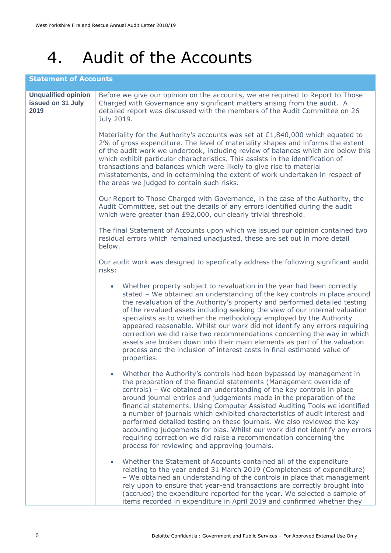### 4. Audit of the Accounts

### **Statement of Accounts**

| <b>Unqualified opinion</b><br>issued on 31 July<br>2019 | Before we give our opinion on the accounts, we are required to Report to Those<br>Charged with Governance any significant matters arising from the audit. A<br>detailed report was discussed with the members of the Audit Committee on 26<br>July 2019.                                                                                                                                                                                                                                                                                                                                                                                                                                                                                            |
|---------------------------------------------------------|-----------------------------------------------------------------------------------------------------------------------------------------------------------------------------------------------------------------------------------------------------------------------------------------------------------------------------------------------------------------------------------------------------------------------------------------------------------------------------------------------------------------------------------------------------------------------------------------------------------------------------------------------------------------------------------------------------------------------------------------------------|
|                                                         | Materiality for the Authority's accounts was set at £1,840,000 which equated to<br>2% of gross expenditure. The level of materiality shapes and informs the extent<br>of the audit work we undertook, including review of balances which are below this<br>which exhibit particular characteristics. This assists in the identification of<br>transactions and balances which were likely to give rise to material<br>misstatements, and in determining the extent of work undertaken in respect of<br>the areas we judged to contain such risks.                                                                                                                                                                                                   |
|                                                         | Our Report to Those Charged with Governance, in the case of the Authority, the<br>Audit Committee, set out the details of any errors identified during the audit<br>which were greater than £92,000, our clearly trivial threshold.                                                                                                                                                                                                                                                                                                                                                                                                                                                                                                                 |
|                                                         | The final Statement of Accounts upon which we issued our opinion contained two<br>residual errors which remained unadjusted, these are set out in more detail<br>below.                                                                                                                                                                                                                                                                                                                                                                                                                                                                                                                                                                             |
|                                                         | Our audit work was designed to specifically address the following significant audit<br>risks:                                                                                                                                                                                                                                                                                                                                                                                                                                                                                                                                                                                                                                                       |
|                                                         | Whether property subject to revaluation in the year had been correctly<br>$\bullet$<br>stated - We obtained an understanding of the key controls in place around<br>the revaluation of the Authority's property and performed detailed testing<br>of the revalued assets including seeking the view of our internal valuation<br>specialists as to whether the methodology employed by the Authority<br>appeared reasonable. Whilst our work did not identify any errors requiring<br>correction we did raise two recommendations concerning the way in which<br>assets are broken down into their main elements as part of the valuation<br>process and the inclusion of interest costs in final estimated value of<br>properties.                 |
|                                                         | Whether the Authority's controls had been bypassed by management in<br>$\bullet$<br>the preparation of the financial statements (Management override of<br>controls) - We obtained an understanding of the key controls in place<br>around journal entries and judgements made in the preparation of the<br>financial statements. Using Computer Assisted Auditing Tools we identified<br>a number of journals which exhibited characteristics of audit interest and<br>performed detailed testing on these journals. We also reviewed the key<br>accounting judgements for bias. Whilst our work did not identify any errors<br>requiring correction we did raise a recommendation concerning the<br>process for reviewing and approving journals. |
|                                                         | Whether the Statement of Accounts contained all of the expenditure<br>$\bullet$<br>relating to the year ended 31 March 2019 (Completeness of expenditure)<br>- We obtained an understanding of the controls in place that management<br>rely upon to ensure that year-end transactions are correctly brought into<br>(accrued) the expenditure reported for the year. We selected a sample of<br>items recorded in expenditure in April 2019 and confirmed whether they                                                                                                                                                                                                                                                                             |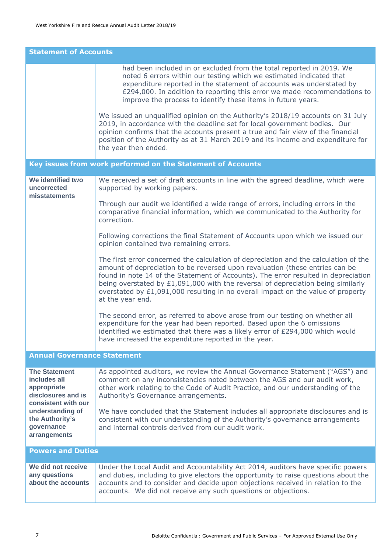| <b>Statement of Accounts</b>                                                                     |                                                                                                                                                                                                                                                                                                                                                                                                                                                        |  |  |  |
|--------------------------------------------------------------------------------------------------|--------------------------------------------------------------------------------------------------------------------------------------------------------------------------------------------------------------------------------------------------------------------------------------------------------------------------------------------------------------------------------------------------------------------------------------------------------|--|--|--|
|                                                                                                  | had been included in or excluded from the total reported in 2019. We<br>noted 6 errors within our testing which we estimated indicated that<br>expenditure reported in the statement of accounts was understated by<br>£294,000. In addition to reporting this error we made recommendations to<br>improve the process to identify these items in future years.                                                                                        |  |  |  |
|                                                                                                  | We issued an unqualified opinion on the Authority's 2018/19 accounts on 31 July<br>2019, in accordance with the deadline set for local government bodies. Our<br>opinion confirms that the accounts present a true and fair view of the financial<br>position of the Authority as at 31 March 2019 and its income and expenditure for<br>the year then ended.                                                                                          |  |  |  |
|                                                                                                  | Key issues from work performed on the Statement of Accounts                                                                                                                                                                                                                                                                                                                                                                                            |  |  |  |
| We identified two<br>uncorrected<br>misstatements                                                | We received a set of draft accounts in line with the agreed deadline, which were<br>supported by working papers.                                                                                                                                                                                                                                                                                                                                       |  |  |  |
|                                                                                                  | Through our audit we identified a wide range of errors, including errors in the<br>comparative financial information, which we communicated to the Authority for<br>correction.                                                                                                                                                                                                                                                                        |  |  |  |
|                                                                                                  | Following corrections the final Statement of Accounts upon which we issued our<br>opinion contained two remaining errors.                                                                                                                                                                                                                                                                                                                              |  |  |  |
|                                                                                                  | The first error concerned the calculation of depreciation and the calculation of the<br>amount of depreciation to be reversed upon revaluation (these entries can be<br>found in note 14 of the Statement of Accounts). The error resulted in depreciation<br>being overstated by £1,091,000 with the reversal of depreciation being similarly<br>overstated by £1,091,000 resulting in no overall impact on the value of property<br>at the year end. |  |  |  |
|                                                                                                  | The second error, as referred to above arose from our testing on whether all<br>expenditure for the year had been reported. Based upon the 6 omissions<br>identified we estimated that there was a likely error of £294,000 which would<br>have increased the expenditure reported in the year.                                                                                                                                                        |  |  |  |
| <b>Annual Governance Statement</b>                                                               |                                                                                                                                                                                                                                                                                                                                                                                                                                                        |  |  |  |
| <b>The Statement</b><br>includes all<br>appropriate<br>disclosures and is<br>consistent with our | As appointed auditors, we review the Annual Governance Statement ("AGS") and<br>comment on any inconsistencies noted between the AGS and our audit work,<br>other work relating to the Code of Audit Practice, and our understanding of the<br>Authority's Governance arrangements.                                                                                                                                                                    |  |  |  |
| understanding of<br>the Authority's<br>governance<br>arrangements                                | We have concluded that the Statement includes all appropriate disclosures and is<br>consistent with our understanding of the Authority's governance arrangements<br>and internal controls derived from our audit work.                                                                                                                                                                                                                                 |  |  |  |
| <b>Powers and Duties</b>                                                                         |                                                                                                                                                                                                                                                                                                                                                                                                                                                        |  |  |  |
| We did not receive<br>any questions<br>about the accounts                                        | Under the Local Audit and Accountability Act 2014, auditors have specific powers<br>and duties, including to give electors the opportunity to raise questions about the<br>accounts and to consider and decide upon objections received in relation to the<br>accounts. We did not receive any such questions or objections.                                                                                                                           |  |  |  |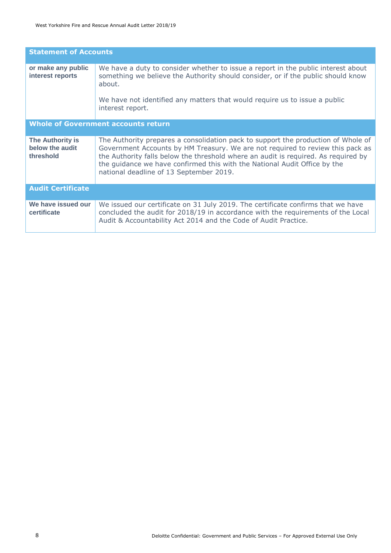| <b>Statement of Accounts</b>                     |                                                                                                                                                                                                                                                                                                                                                                                   |  |  |  |
|--------------------------------------------------|-----------------------------------------------------------------------------------------------------------------------------------------------------------------------------------------------------------------------------------------------------------------------------------------------------------------------------------------------------------------------------------|--|--|--|
| or make any public<br>interest reports           | We have a duty to consider whether to issue a report in the public interest about<br>something we believe the Authority should consider, or if the public should know<br>about.<br>We have not identified any matters that would require us to issue a public<br>interest report.                                                                                                 |  |  |  |
| <b>Whole of Government accounts return</b>       |                                                                                                                                                                                                                                                                                                                                                                                   |  |  |  |
| The Authority is<br>below the audit<br>threshold | The Authority prepares a consolidation pack to support the production of Whole of<br>Government Accounts by HM Treasury. We are not required to review this pack as<br>the Authority falls below the threshold where an audit is required. As required by<br>the guidance we have confirmed this with the National Audit Office by the<br>national deadline of 13 September 2019. |  |  |  |
| <b>Audit Certificate</b>                         |                                                                                                                                                                                                                                                                                                                                                                                   |  |  |  |
| We have issued our<br>certificate                | We issued our certificate on 31 July 2019. The certificate confirms that we have<br>concluded the audit for 2018/19 in accordance with the requirements of the Local<br>Audit & Accountability Act 2014 and the Code of Audit Practice.                                                                                                                                           |  |  |  |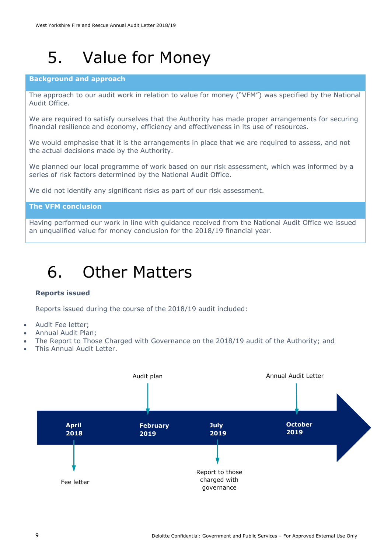### 5. Value for Money

#### **Background and approach**

The approach to our audit work in relation to value for money ("VFM") was specified by the National Audit Office.

We are required to satisfy ourselves that the Authority has made proper arrangements for securing financial resilience and economy, efficiency and effectiveness in its use of resources.

We would emphasise that it is the arrangements in place that we are required to assess, and not the actual decisions made by the Authority.

We planned our local programme of work based on our risk assessment, which was informed by a series of risk factors determined by the National Audit Office.

We did not identify any significant risks as part of our risk assessment.

#### **The VFM conclusion**

Having performed our work in line with guidance received from the National Audit Office we issued an unqualified value for money conclusion for the 2018/19 financial year.

### 6. Other Matters

#### **Reports issued**

Reports issued during the course of the 2018/19 audit included:

- Audit Fee letter;
- Annual Audit Plan;
- The Report to Those Charged with Governance on the 2018/19 audit of the Authority; and
- This Annual Audit Letter.

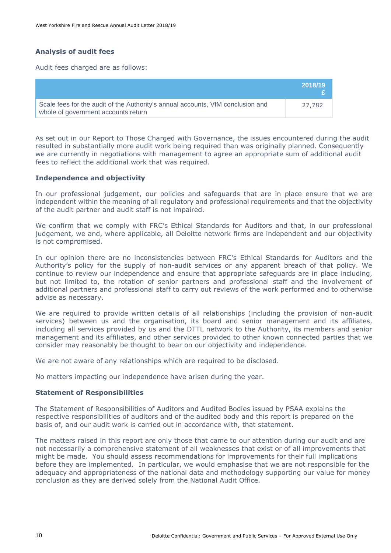### **Analysis of audit fees**

Audit fees charged are as follows:

|                                                                                                                        | 2018/19 |
|------------------------------------------------------------------------------------------------------------------------|---------|
| Scale fees for the audit of the Authority's annual accounts, VfM conclusion and<br>whole of government accounts return | 27,782  |

As set out in our Report to Those Charged with Governance, the issues encountered during the audit resulted in substantially more audit work being required than was originally planned. Consequently we are currently in negotiations with management to agree an appropriate sum of additional audit fees to reflect the additional work that was required.

#### **Independence and objectivity**

In our professional judgement, our policies and safeguards that are in place ensure that we are independent within the meaning of all regulatory and professional requirements and that the objectivity of the audit partner and audit staff is not impaired.

We confirm that we comply with FRC's Ethical Standards for Auditors and that, in our professional judgement, we and, where applicable, all Deloitte network firms are independent and our objectivity is not compromised.

In our opinion there are no inconsistencies between FRC's Ethical Standards for Auditors and the Authority's policy for the supply of non-audit services or any apparent breach of that policy. We continue to review our independence and ensure that appropriate safeguards are in place including, but not limited to, the rotation of senior partners and professional staff and the involvement of additional partners and professional staff to carry out reviews of the work performed and to otherwise advise as necessary.

We are required to provide written details of all relationships (including the provision of non-audit services) between us and the organisation, its board and senior management and its affiliates, including all services provided by us and the DTTL network to the Authority, its members and senior management and its affiliates, and other services provided to other known connected parties that we consider may reasonably be thought to bear on our objectivity and independence.

We are not aware of any relationships which are required to be disclosed.

No matters impacting our independence have arisen during the year.

#### **Statement of Responsibilities**

The Statement of Responsibilities of Auditors and Audited Bodies issued by PSAA explains the respective responsibilities of auditors and of the audited body and this report is prepared on the basis of, and our audit work is carried out in accordance with, that statement.

The matters raised in this report are only those that came to our attention during our audit and are not necessarily a comprehensive statement of all weaknesses that exist or of all improvements that might be made. You should assess recommendations for improvements for their full implications before they are implemented. In particular, we would emphasise that we are not responsible for the adequacy and appropriateness of the national data and methodology supporting our value for money conclusion as they are derived solely from the National Audit Office.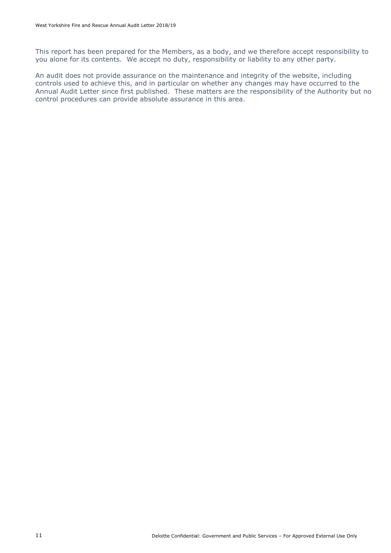This report has been prepared for the Members, as a body, and we therefore accept responsibility to you alone for its contents. We accept no duty, responsibility or liability to any other party.

An audit does not provide assurance on the maintenance and integrity of the website, including controls used to achieve this, and in particular on whether any changes may have occurred to the Annual Audit Letter since first published. These matters are the responsibility of the Authority but no control procedures can provide absolute assurance in this area.